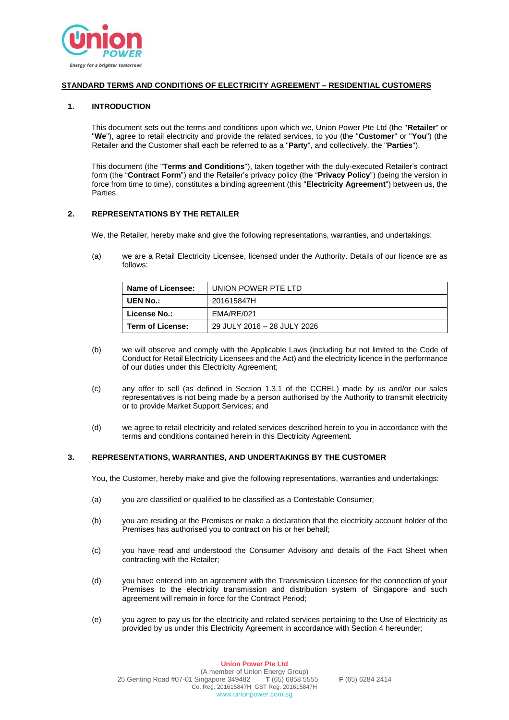

## **STANDARD TERMS AND CONDITIONS OF ELECTRICITY AGREEMENT – RESIDENTIAL CUSTOMERS**

## **1. INTRODUCTION**

This document sets out the terms and conditions upon which we, Union Power Pte Ltd (the "**Retailer**" or "**We**"), agree to retail electricity and provide the related services, to you (the "**Customer**" or "**You**") (the Retailer and the Customer shall each be referred to as a "**Party**", and collectively, the "**Parties**").

This document (the "**Terms and Conditions**"), taken together with the duly-executed Retailer's contract form (the "**Contract Form**") and the Retailer's privacy policy (the "**Privacy Policy**") (being the version in force from time to time), constitutes a binding agreement (this "**Electricity Agreement**") between us, the Parties.

### **2. REPRESENTATIONS BY THE RETAILER**

We, the Retailer, hereby make and give the following representations, warranties, and undertakings:

(a) we are a Retail Electricity Licensee, licensed under the Authority. Details of our licence are as follows:

| Name of Licensee:   | UNION POWER PTE LTD         |
|---------------------|-----------------------------|
| UEN No.:            | 201615847H                  |
| <b>License No.:</b> | EMA/RE/021                  |
| Term of License:    | 29 JULY 2016 - 28 JULY 2026 |

- (b) we will observe and comply with the Applicable Laws (including but not limited to the Code of Conduct for Retail Electricity Licensees and the Act) and the electricity licence in the performance of our duties under this Electricity Agreement;
- (c) any offer to sell (as defined in Section 1.3.1 of the CCREL) made by us and/or our sales representatives is not being made by a person authorised by the Authority to transmit electricity or to provide Market Support Services; and
- (d) we agree to retail electricity and related services described herein to you in accordance with the terms and conditions contained herein in this Electricity Agreement.

### **3. REPRESENTATIONS, WARRANTIES, AND UNDERTAKINGS BY THE CUSTOMER**

You, the Customer, hereby make and give the following representations, warranties and undertakings:

- (a) you are classified or qualified to be classified as a Contestable Consumer;
- (b) you are residing at the Premises or make a declaration that the electricity account holder of the Premises has authorised you to contract on his or her behalf;
- (c) you have read and understood the Consumer Advisory and details of the Fact Sheet when contracting with the Retailer;
- (d) you have entered into an agreement with the Transmission Licensee for the connection of your Premises to the electricity transmission and distribution system of Singapore and such agreement will remain in force for the Contract Period;
- (e) you agree to pay us for the electricity and related services pertaining to the Use of Electricity as provided by us under this Electricity Agreement in accordance with Section 4 hereunder;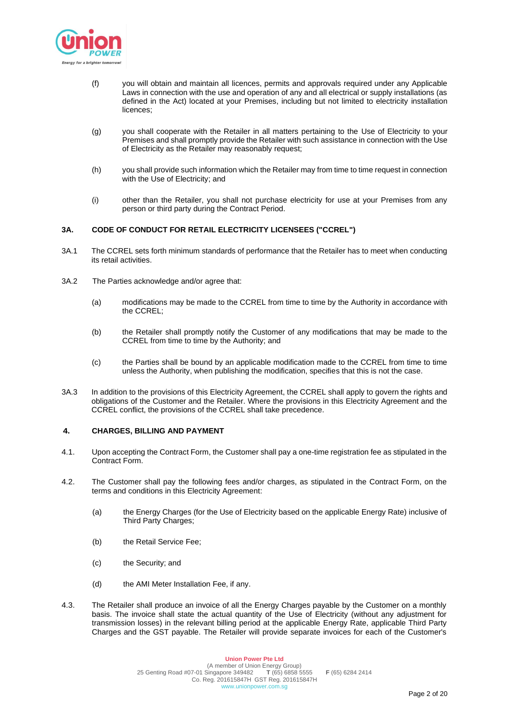

- (f) you will obtain and maintain all licences, permits and approvals required under any Applicable Laws in connection with the use and operation of any and all electrical or supply installations (as defined in the Act) located at your Premises, including but not limited to electricity installation licences;
- (g) you shall cooperate with the Retailer in all matters pertaining to the Use of Electricity to your Premises and shall promptly provide the Retailer with such assistance in connection with the Use of Electricity as the Retailer may reasonably request;
- (h) you shall provide such information which the Retailer may from time to time request in connection with the Use of Electricity; and
- (i) other than the Retailer, you shall not purchase electricity for use at your Premises from any person or third party during the Contract Period.

## **3A. CODE OF CONDUCT FOR RETAIL ELECTRICITY LICENSEES ("CCREL")**

- 3A.1 The CCREL sets forth minimum standards of performance that the Retailer has to meet when conducting its retail activities.
- 3A.2 The Parties acknowledge and/or agree that:
	- (a) modifications may be made to the CCREL from time to time by the Authority in accordance with the CCREL;
	- (b) the Retailer shall promptly notify the Customer of any modifications that may be made to the CCREL from time to time by the Authority; and
	- (c) the Parties shall be bound by an applicable modification made to the CCREL from time to time unless the Authority, when publishing the modification, specifies that this is not the case.
- 3A.3 In addition to the provisions of this Electricity Agreement, the CCREL shall apply to govern the rights and obligations of the Customer and the Retailer. Where the provisions in this Electricity Agreement and the CCREL conflict, the provisions of the CCREL shall take precedence.

### **4. CHARGES, BILLING AND PAYMENT**

- 4.1. Upon accepting the Contract Form, the Customer shall pay a one-time registration fee as stipulated in the Contract Form.
- 4.2. The Customer shall pay the following fees and/or charges, as stipulated in the Contract Form, on the terms and conditions in this Electricity Agreement:
	- (a) the Energy Charges (for the Use of Electricity based on the applicable Energy Rate) inclusive of Third Party Charges;
	- (b) the Retail Service Fee;
	- (c) the Security; and
	- (d) the AMI Meter Installation Fee, if any.
- 4.3. The Retailer shall produce an invoice of all the Energy Charges payable by the Customer on a monthly basis. The invoice shall state the actual quantity of the Use of Electricity (without any adjustment for transmission losses) in the relevant billing period at the applicable Energy Rate, applicable Third Party Charges and the GST payable. The Retailer will provide separate invoices for each of the Customer's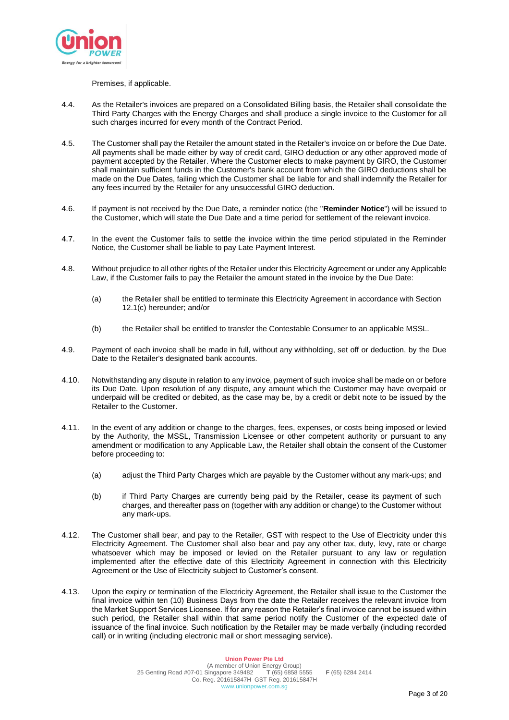

### Premises, if applicable.

- 4.4. As the Retailer's invoices are prepared on a Consolidated Billing basis, the Retailer shall consolidate the Third Party Charges with the Energy Charges and shall produce a single invoice to the Customer for all such charges incurred for every month of the Contract Period.
- 4.5. The Customer shall pay the Retailer the amount stated in the Retailer's invoice on or before the Due Date. All payments shall be made either by way of credit card, GIRO deduction or any other approved mode of payment accepted by the Retailer. Where the Customer elects to make payment by GIRO, the Customer shall maintain sufficient funds in the Customer's bank account from which the GIRO deductions shall be made on the Due Dates, failing which the Customer shall be liable for and shall indemnify the Retailer for any fees incurred by the Retailer for any unsuccessful GIRO deduction.
- 4.6. If payment is not received by the Due Date, a reminder notice (the "**Reminder Notice**") will be issued to the Customer, which will state the Due Date and a time period for settlement of the relevant invoice.
- 4.7. In the event the Customer fails to settle the invoice within the time period stipulated in the Reminder Notice, the Customer shall be liable to pay Late Payment Interest.
- 4.8. Without prejudice to all other rights of the Retailer under this Electricity Agreement or under any Applicable Law, if the Customer fails to pay the Retailer the amount stated in the invoice by the Due Date:
	- (a) the Retailer shall be entitled to terminate this Electricity Agreement in accordance with Section 12.1(c) hereunder; and/or
	- (b) the Retailer shall be entitled to transfer the Contestable Consumer to an applicable MSSL.
- 4.9. Payment of each invoice shall be made in full, without any withholding, set off or deduction, by the Due Date to the Retailer's designated bank accounts.
- 4.10. Notwithstanding any dispute in relation to any invoice, payment of such invoice shall be made on or before its Due Date. Upon resolution of any dispute, any amount which the Customer may have overpaid or underpaid will be credited or debited, as the case may be, by a credit or debit note to be issued by the Retailer to the Customer.
- 4.11. In the event of any addition or change to the charges, fees, expenses, or costs being imposed or levied by the Authority, the MSSL, Transmission Licensee or other competent authority or pursuant to any amendment or modification to any Applicable Law, the Retailer shall obtain the consent of the Customer before proceeding to:
	- (a) adjust the Third Party Charges which are payable by the Customer without any mark-ups; and
	- (b) if Third Party Charges are currently being paid by the Retailer, cease its payment of such charges, and thereafter pass on (together with any addition or change) to the Customer without any mark-ups.
- 4.12. The Customer shall bear, and pay to the Retailer, GST with respect to the Use of Electricity under this Electricity Agreement. The Customer shall also bear and pay any other tax, duty, levy, rate or charge whatsoever which may be imposed or levied on the Retailer pursuant to any law or regulation implemented after the effective date of this Electricity Agreement in connection with this Electricity Agreement or the Use of Electricity subject to Customer's consent.
- 4.13. Upon the expiry or termination of the Electricity Agreement, the Retailer shall issue to the Customer the final invoice within ten (10) Business Days from the date the Retailer receives the relevant invoice from the Market Support Services Licensee. If for any reason the Retailer's final invoice cannot be issued within such period, the Retailer shall within that same period notify the Customer of the expected date of issuance of the final invoice. Such notification by the Retailer may be made verbally (including recorded call) or in writing (including electronic mail or short messaging service).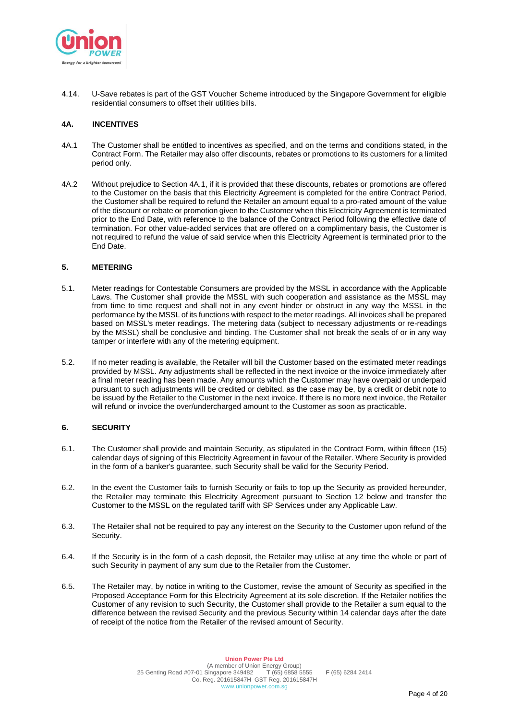

4.14. U-Save rebates is part of the GST Voucher Scheme introduced by the Singapore Government for eligible residential consumers to offset their utilities bills.

## **4A. INCENTIVES**

- 4A.1 The Customer shall be entitled to incentives as specified, and on the terms and conditions stated, in the Contract Form. The Retailer may also offer discounts, rebates or promotions to its customers for a limited period only.
- 4A.2 Without prejudice to Section 4A.1, if it is provided that these discounts, rebates or promotions are offered to the Customer on the basis that this Electricity Agreement is completed for the entire Contract Period, the Customer shall be required to refund the Retailer an amount equal to a pro-rated amount of the value of the discount or rebate or promotion given to the Customer when this Electricity Agreement is terminated prior to the End Date, with reference to the balance of the Contract Period following the effective date of termination. For other value-added services that are offered on a complimentary basis, the Customer is not required to refund the value of said service when this Electricity Agreement is terminated prior to the End Date.

## **5. METERING**

- 5.1. Meter readings for Contestable Consumers are provided by the MSSL in accordance with the Applicable Laws. The Customer shall provide the MSSL with such cooperation and assistance as the MSSL may from time to time request and shall not in any event hinder or obstruct in any way the MSSL in the performance by the MSSL of its functions with respect to the meter readings. All invoices shall be prepared based on MSSL's meter readings. The metering data (subject to necessary adjustments or re-readings by the MSSL) shall be conclusive and binding. The Customer shall not break the seals of or in any way tamper or interfere with any of the metering equipment.
- 5.2. If no meter reading is available, the Retailer will bill the Customer based on the estimated meter readings provided by MSSL. Any adjustments shall be reflected in the next invoice or the invoice immediately after a final meter reading has been made. Any amounts which the Customer may have overpaid or underpaid pursuant to such adjustments will be credited or debited, as the case may be, by a credit or debit note to be issued by the Retailer to the Customer in the next invoice. If there is no more next invoice, the Retailer will refund or invoice the over/undercharged amount to the Customer as soon as practicable.

# **6. SECURITY**

- 6.1. The Customer shall provide and maintain Security, as stipulated in the Contract Form, within fifteen (15) calendar days of signing of this Electricity Agreement in favour of the Retailer. Where Security is provided in the form of a banker's guarantee, such Security shall be valid for the Security Period.
- 6.2. In the event the Customer fails to furnish Security or fails to top up the Security as provided hereunder, the Retailer may terminate this Electricity Agreement pursuant to Section 12 below and transfer the Customer to the MSSL on the regulated tariff with SP Services under any Applicable Law.
- 6.3. The Retailer shall not be required to pay any interest on the Security to the Customer upon refund of the Security.
- 6.4. If the Security is in the form of a cash deposit, the Retailer may utilise at any time the whole or part of such Security in payment of any sum due to the Retailer from the Customer.
- 6.5. The Retailer may, by notice in writing to the Customer, revise the amount of Security as specified in the Proposed Acceptance Form for this Electricity Agreement at its sole discretion. If the Retailer notifies the Customer of any revision to such Security, the Customer shall provide to the Retailer a sum equal to the difference between the revised Security and the previous Security within 14 calendar days after the date of receipt of the notice from the Retailer of the revised amount of Security.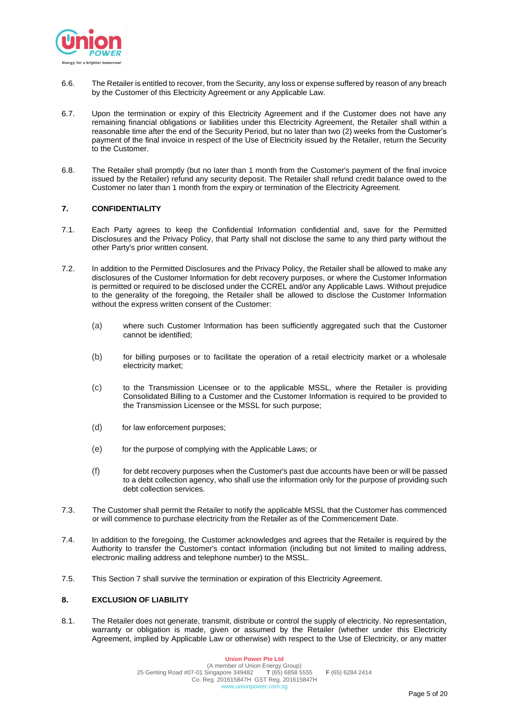

- 6.6. The Retailer is entitled to recover, from the Security, any loss or expense suffered by reason of any breach by the Customer of this Electricity Agreement or any Applicable Law.
- 6.7. Upon the termination or expiry of this Electricity Agreement and if the Customer does not have any remaining financial obligations or liabilities under this Electricity Agreement, the Retailer shall within a reasonable time after the end of the Security Period, but no later than two (2) weeks from the Customer's payment of the final invoice in respect of the Use of Electricity issued by the Retailer, return the Security to the Customer.
- 6.8. The Retailer shall promptly (but no later than 1 month from the Customer's payment of the final invoice issued by the Retailer) refund any security deposit. The Retailer shall refund credit balance owed to the Customer no later than 1 month from the expiry or termination of the Electricity Agreement.

# **7. CONFIDENTIALITY**

- 7.1. Each Party agrees to keep the Confidential Information confidential and, save for the Permitted Disclosures and the Privacy Policy, that Party shall not disclose the same to any third party without the other Party's prior written consent.
- 7.2. In addition to the Permitted Disclosures and the Privacy Policy, the Retailer shall be allowed to make any disclosures of the Customer Information for debt recovery purposes, or where the Customer Information is permitted or required to be disclosed under the CCREL and/or any Applicable Laws. Without prejudice to the generality of the foregoing, the Retailer shall be allowed to disclose the Customer Information without the express written consent of the Customer:
	- (a) where such Customer Information has been sufficiently aggregated such that the Customer cannot be identified;
	- (b) for billing purposes or to facilitate the operation of a retail electricity market or a wholesale electricity market;
	- (c) to the Transmission Licensee or to the applicable MSSL, where the Retailer is providing Consolidated Billing to a Customer and the Customer Information is required to be provided to the Transmission Licensee or the MSSL for such purpose;
	- (d) for law enforcement purposes;
	- (e) for the purpose of complying with the Applicable Laws; or
	- (f) for debt recovery purposes when the Customer's past due accounts have been or will be passed to a debt collection agency, who shall use the information only for the purpose of providing such debt collection services.
- 7.3. The Customer shall permit the Retailer to notify the applicable MSSL that the Customer has commenced or will commence to purchase electricity from the Retailer as of the Commencement Date.
- 7.4. In addition to the foregoing, the Customer acknowledges and agrees that the Retailer is required by the Authority to transfer the Customer's contact information (including but not limited to mailing address, electronic mailing address and telephone number) to the MSSL.
- 7.5. This Section 7 shall survive the termination or expiration of this Electricity Agreement.

# **8. EXCLUSION OF LIABILITY**

8.1. The Retailer does not generate, transmit, distribute or control the supply of electricity. No representation, warranty or obligation is made, given or assumed by the Retailer (whether under this Electricity Agreement, implied by Applicable Law or otherwise) with respect to the Use of Electricity, or any matter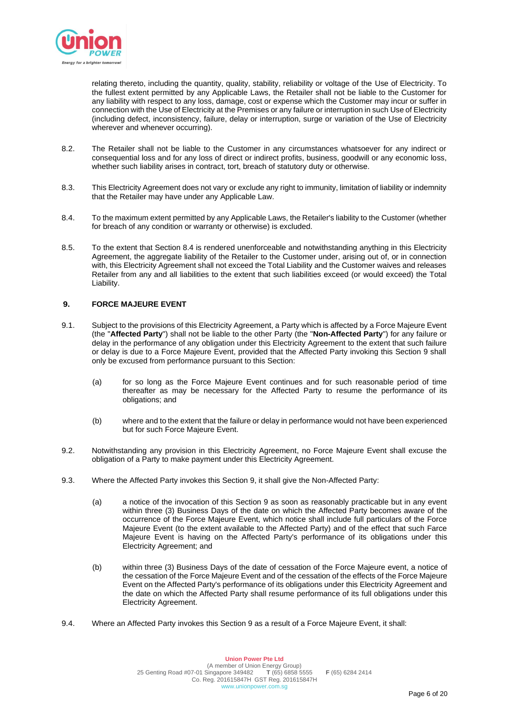

relating thereto, including the quantity, quality, stability, reliability or voltage of the Use of Electricity. To the fullest extent permitted by any Applicable Laws, the Retailer shall not be liable to the Customer for any liability with respect to any loss, damage, cost or expense which the Customer may incur or suffer in connection with the Use of Electricity at the Premises or any failure or interruption in such Use of Electricity (including defect, inconsistency, failure, delay or interruption, surge or variation of the Use of Electricity wherever and whenever occurring).

- 8.2. The Retailer shall not be liable to the Customer in any circumstances whatsoever for any indirect or consequential loss and for any loss of direct or indirect profits, business, goodwill or any economic loss, whether such liability arises in contract, tort, breach of statutory duty or otherwise.
- 8.3. This Electricity Agreement does not vary or exclude any right to immunity, limitation of liability or indemnity that the Retailer may have under any Applicable Law.
- 8.4. To the maximum extent permitted by any Applicable Laws, the Retailer's liability to the Customer (whether for breach of any condition or warranty or otherwise) is excluded.
- 8.5. To the extent that Section 8.4 is rendered unenforceable and notwithstanding anything in this Electricity Agreement, the aggregate liability of the Retailer to the Customer under, arising out of, or in connection with, this Electricity Agreement shall not exceed the Total Liability and the Customer waives and releases Retailer from any and all liabilities to the extent that such liabilities exceed (or would exceed) the Total Liability.

## **9. FORCE MAJEURE EVENT**

- 9.1. Subject to the provisions of this Electricity Agreement, a Party which is affected by a Force Majeure Event (the "**Affected Party**") shall not be liable to the other Party (the "**Non-Affected Party**") for any failure or delay in the performance of any obligation under this Electricity Agreement to the extent that such failure or delay is due to a Force Majeure Event, provided that the Affected Party invoking this Section 9 shall only be excused from performance pursuant to this Section:
	- (a) for so long as the Force Majeure Event continues and for such reasonable period of time thereafter as may be necessary for the Affected Party to resume the performance of its obligations; and
	- (b) where and to the extent that the failure or delay in performance would not have been experienced but for such Force Majeure Event.
- 9.2. Notwithstanding any provision in this Electricity Agreement, no Force Majeure Event shall excuse the obligation of a Party to make payment under this Electricity Agreement.
- 9.3. Where the Affected Party invokes this Section 9, it shall give the Non-Affected Party:
	- (a) a notice of the invocation of this Section 9 as soon as reasonably practicable but in any event within three (3) Business Days of the date on which the Affected Party becomes aware of the occurrence of the Force Majeure Event, which notice shall include full particulars of the Force Majeure Event (to the extent available to the Affected Party) and of the effect that such Farce Majeure Event is having on the Affected Party's performance of its obligations under this Electricity Agreement; and
	- (b) within three (3) Business Days of the date of cessation of the Force Majeure event, a notice of the cessation of the Force Majeure Event and of the cessation of the effects of the Force Majeure Event on the Affected Party's performance of its obligations under this Electricity Agreement and the date on which the Affected Party shall resume performance of its full obligations under this Electricity Agreement.
- 9.4. Where an Affected Party invokes this Section 9 as a result of a Force Majeure Event, it shall: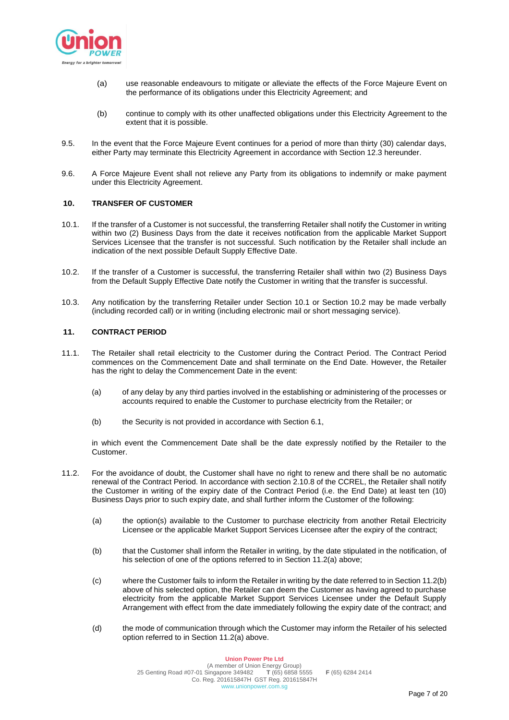

- (a) use reasonable endeavours to mitigate or alleviate the effects of the Force Majeure Event on the performance of its obligations under this Electricity Agreement; and
- (b) continue to comply with its other unaffected obligations under this Electricity Agreement to the extent that it is possible.
- 9.5. In the event that the Force Majeure Event continues for a period of more than thirty (30) calendar days, either Party may terminate this Electricity Agreement in accordance with Section 12.3 hereunder.
- 9.6. A Force Majeure Event shall not relieve any Party from its obligations to indemnify or make payment under this Electricity Agreement.

### **10. TRANSFER OF CUSTOMER**

- 10.1. If the transfer of a Customer is not successful, the transferring Retailer shall notify the Customer in writing within two (2) Business Days from the date it receives notification from the applicable Market Support Services Licensee that the transfer is not successful. Such notification by the Retailer shall include an indication of the next possible Default Supply Effective Date.
- 10.2. If the transfer of a Customer is successful, the transferring Retailer shall within two (2) Business Days from the Default Supply Effective Date notify the Customer in writing that the transfer is successful.
- 10.3. Any notification by the transferring Retailer under Section 10.1 or Section 10.2 may be made verbally (including recorded call) or in writing (including electronic mail or short messaging service).

## **11. CONTRACT PERIOD**

- 11.1. The Retailer shall retail electricity to the Customer during the Contract Period. The Contract Period commences on the Commencement Date and shall terminate on the End Date. However, the Retailer has the right to delay the Commencement Date in the event:
	- (a) of any delay by any third parties involved in the establishing or administering of the processes or accounts required to enable the Customer to purchase electricity from the Retailer; or
	- (b) the Security is not provided in accordance with Section 6.1,

in which event the Commencement Date shall be the date expressly notified by the Retailer to the Customer.

- 11.2. For the avoidance of doubt, the Customer shall have no right to renew and there shall be no automatic renewal of the Contract Period. In accordance with section 2.10.8 of the CCREL, the Retailer shall notify the Customer in writing of the expiry date of the Contract Period (i.e. the End Date) at least ten (10) Business Days prior to such expiry date, and shall further inform the Customer of the following:
	- (a) the option(s) available to the Customer to purchase electricity from another Retail Electricity Licensee or the applicable Market Support Services Licensee after the expiry of the contract;
	- (b) that the Customer shall inform the Retailer in writing, by the date stipulated in the notification, of his selection of one of the options referred to in Section 11.2(a) above;
	- (c) where the Customer fails to inform the Retailer in writing by the date referred to in Section 11.2(b) above of his selected option, the Retailer can deem the Customer as having agreed to purchase electricity from the applicable Market Support Services Licensee under the Default Supply Arrangement with effect from the date immediately following the expiry date of the contract; and
	- (d) the mode of communication through which the Customer may inform the Retailer of his selected option referred to in Section 11.2(a) above.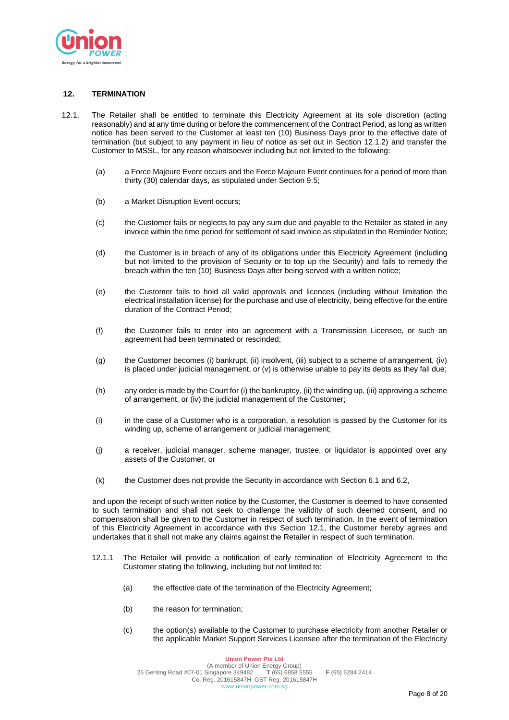

## **12. TERMINATION**

- 12.1. The Retailer shall be entitled to terminate this Electricity Agreement at its sole discretion (acting reasonably) and at any time during or before the commencement of the Contract Period, as long as written notice has been served to the Customer at least ten (10) Business Days prior to the effective date of termination (but subject to any payment in lieu of notice as set out in Section 12.1.2) and transfer the Customer to MSSL, for any reason whatsoever including but not limited to the following:
	- (a) a Force Majeure Event occurs and the Force Majeure Event continues for a period of more than thirty (30) calendar days, as stipulated under Section 9.5;
	- (b) a Market Disruption Event occurs;
	- (c) the Customer fails or neglects to pay any sum due and payable to the Retailer as stated in any invoice within the time period for settlement of said invoice as stipulated in the Reminder Notice;
	- (d) the Customer is in breach of any of its obligations under this Electricity Agreement (including but not limited to the provision of Security or to top up the Security) and fails to remedy the breach within the ten (10) Business Days after being served with a written notice;
	- (e) the Customer fails to hold all valid approvals and licences (including without limitation the electrical installation license) for the purchase and use of electricity, being effective for the entire duration of the Contract Period;
	- (f) the Customer fails to enter into an agreement with a Transmission Licensee, or such an agreement had been terminated or rescinded;
	- (g) the Customer becomes (i) bankrupt, (ii) insolvent, (iii) subject to a scheme of arrangement, (iv) is placed under judicial management, or (v) is otherwise unable to pay its debts as they fall due;
	- (h) any order is made by the Court for (i) the bankruptcy, (ii) the winding up, (iii) approving a scheme of arrangement, or (iv) the judicial management of the Customer;
	- (i) in the case of a Customer who is a corporation, a resolution is passed by the Customer for its winding up, scheme of arrangement or judicial management;
	- (j) a receiver, judicial manager, scheme manager, trustee, or liquidator is appointed over any assets of the Customer; or
	- (k) the Customer does not provide the Security in accordance with Section 6.1 and 6.2,

and upon the receipt of such written notice by the Customer, the Customer is deemed to have consented to such termination and shall not seek to challenge the validity of such deemed consent, and no compensation shall be given to the Customer in respect of such termination. In the event of termination of this Electricity Agreement in accordance with this Section 12.1, the Customer hereby agrees and undertakes that it shall not make any claims against the Retailer in respect of such termination.

- 12.1.1 The Retailer will provide a notification of early termination of Electricity Agreement to the Customer stating the following, including but not limited to:
	- (a) the effective date of the termination of the Electricity Agreement;
	- (b) the reason for termination;
	- (c) the option(s) available to the Customer to purchase electricity from another Retailer or the applicable Market Support Services Licensee after the termination of the Electricity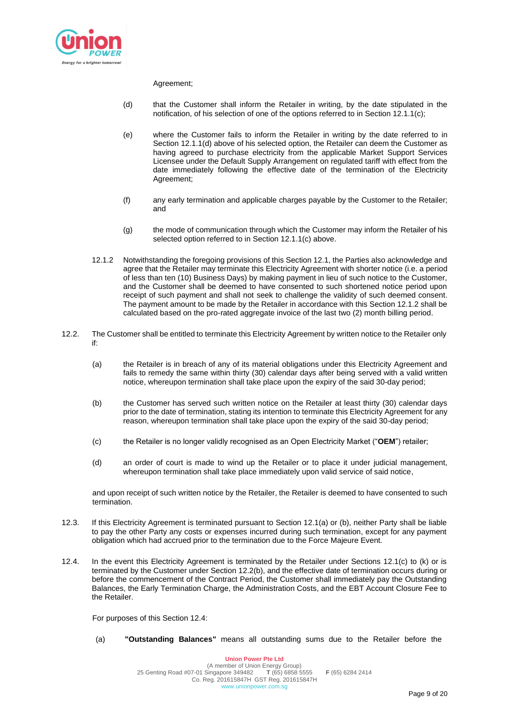

### Agreement;

- (d) that the Customer shall inform the Retailer in writing, by the date stipulated in the notification, of his selection of one of the options referred to in Section 12.1.1(c);
- (e) where the Customer fails to inform the Retailer in writing by the date referred to in Section 12.1.1(d) above of his selected option, the Retailer can deem the Customer as having agreed to purchase electricity from the applicable Market Support Services Licensee under the Default Supply Arrangement on regulated tariff with effect from the date immediately following the effective date of the termination of the Electricity Agreement;
- (f) any early termination and applicable charges payable by the Customer to the Retailer; and
- (g) the mode of communication through which the Customer may inform the Retailer of his selected option referred to in Section 12.1.1(c) above.
- 12.1.2 Notwithstanding the foregoing provisions of this Section 12.1, the Parties also acknowledge and agree that the Retailer may terminate this Electricity Agreement with shorter notice (i.e. a period of less than ten (10) Business Days) by making payment in lieu of such notice to the Customer, and the Customer shall be deemed to have consented to such shortened notice period upon receipt of such payment and shall not seek to challenge the validity of such deemed consent. The payment amount to be made by the Retailer in accordance with this Section 12.1.2 shall be calculated based on the pro-rated aggregate invoice of the last two (2) month billing period.
- 12.2. The Customer shall be entitled to terminate this Electricity Agreement by written notice to the Retailer only if:
	- (a) the Retailer is in breach of any of its material obligations under this Electricity Agreement and fails to remedy the same within thirty (30) calendar days after being served with a valid written notice, whereupon termination shall take place upon the expiry of the said 30-day period;
	- (b) the Customer has served such written notice on the Retailer at least thirty (30) calendar days prior to the date of termination, stating its intention to terminate this Electricity Agreement for any reason, whereupon termination shall take place upon the expiry of the said 30-day period;
	- (c) the Retailer is no longer validly recognised as an Open Electricity Market ("**OEM**") retailer;
	- (d) an order of court is made to wind up the Retailer or to place it under judicial management, whereupon termination shall take place immediately upon valid service of said notice,

and upon receipt of such written notice by the Retailer, the Retailer is deemed to have consented to such termination.

- 12.3. If this Electricity Agreement is terminated pursuant to Section 12.1(a) or (b), neither Party shall be liable to pay the other Party any costs or expenses incurred during such termination, except for any payment obligation which had accrued prior to the termination due to the Force Majeure Event.
- 12.4. In the event this Electricity Agreement is terminated by the Retailer under Sections 12.1(c) to (k) or is terminated by the Customer under Section 12.2(b), and the effective date of termination occurs during or before the commencement of the Contract Period, the Customer shall immediately pay the Outstanding Balances, the Early Termination Charge, the Administration Costs, and the EBT Account Closure Fee to the Retailer.

For purposes of this Section 12.4:

(a) **"Outstanding Balances"** means all outstanding sums due to the Retailer before the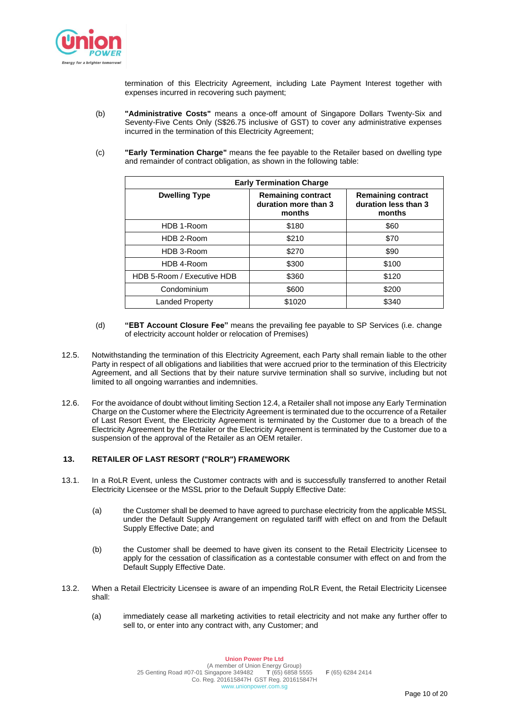

termination of this Electricity Agreement, including Late Payment Interest together with expenses incurred in recovering such payment;

- (b) **"Administrative Costs"** means a once-off amount of Singapore Dollars Twenty-Six and Seventy-Five Cents Only (S\$26.75 inclusive of GST) to cover any administrative expenses incurred in the termination of this Electricity Agreement;
- (c) **"Early Termination Charge"** means the fee payable to the Retailer based on dwelling type and remainder of contract obligation, as shown in the following table:

| <b>Early Termination Charge</b> |                                                             |                                                             |  |  |
|---------------------------------|-------------------------------------------------------------|-------------------------------------------------------------|--|--|
| <b>Dwelling Type</b>            | <b>Remaining contract</b><br>duration more than 3<br>months | <b>Remaining contract</b><br>duration less than 3<br>months |  |  |
| HDB 1-Room                      | \$180                                                       | \$60                                                        |  |  |
| HDB 2-Room                      | \$210                                                       | \$70                                                        |  |  |
| HDB 3-Room                      | \$270                                                       | \$90                                                        |  |  |
| HDB 4-Room                      | \$300                                                       | \$100                                                       |  |  |
| HDB 5-Room / Executive HDB      | \$360                                                       | \$120                                                       |  |  |
| Condominium                     | \$600                                                       | \$200                                                       |  |  |
| <b>Landed Property</b>          | \$1020                                                      | \$340                                                       |  |  |

- (d) **"EBT Account Closure Fee"** means the prevailing fee payable to SP Services (i.e. change of electricity account holder or relocation of Premises)
- 12.5. Notwithstanding the termination of this Electricity Agreement, each Party shall remain liable to the other Party in respect of all obligations and liabilities that were accrued prior to the termination of this Electricity Agreement, and all Sections that by their nature survive termination shall so survive, including but not limited to all ongoing warranties and indemnities.
- 12.6. For the avoidance of doubt without limiting Section 12.4, a Retailer shall not impose any Early Termination Charge on the Customer where the Electricity Agreement is terminated due to the occurrence of a Retailer of Last Resort Event, the Electricity Agreement is terminated by the Customer due to a breach of the Electricity Agreement by the Retailer or the Electricity Agreement is terminated by the Customer due to a suspension of the approval of the Retailer as an OEM retailer.

# **13. RETAILER OF LAST RESORT ("ROLR") FRAMEWORK**

- 13.1. In a RoLR Event, unless the Customer contracts with and is successfully transferred to another Retail Electricity Licensee or the MSSL prior to the Default Supply Effective Date:
	- (a) the Customer shall be deemed to have agreed to purchase electricity from the applicable MSSL under the Default Supply Arrangement on regulated tariff with effect on and from the Default Supply Effective Date; and
	- (b) the Customer shall be deemed to have given its consent to the Retail Electricity Licensee to apply for the cessation of classification as a contestable consumer with effect on and from the Default Supply Effective Date.
- 13.2. When a Retail Electricity Licensee is aware of an impending RoLR Event, the Retail Electricity Licensee shall:
	- (a) immediately cease all marketing activities to retail electricity and not make any further offer to sell to, or enter into any contract with, any Customer; and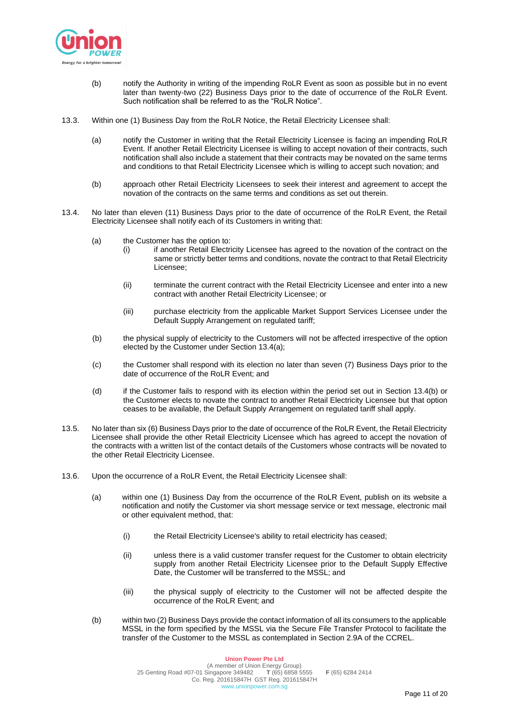

- (b) notify the Authority in writing of the impending RoLR Event as soon as possible but in no event later than twenty-two (22) Business Days prior to the date of occurrence of the RoLR Event. Such notification shall be referred to as the "RoLR Notice".
- 13.3. Within one (1) Business Day from the RoLR Notice, the Retail Electricity Licensee shall:
	- (a) notify the Customer in writing that the Retail Electricity Licensee is facing an impending RoLR Event. If another Retail Electricity Licensee is willing to accept novation of their contracts, such notification shall also include a statement that their contracts may be novated on the same terms and conditions to that Retail Electricity Licensee which is willing to accept such novation; and
	- (b) approach other Retail Electricity Licensees to seek their interest and agreement to accept the novation of the contracts on the same terms and conditions as set out therein.
- 13.4. No later than eleven (11) Business Days prior to the date of occurrence of the RoLR Event, the Retail Electricity Licensee shall notify each of its Customers in writing that:
	- (a) the Customer has the option to:
		- (i) if another Retail Electricity Licensee has agreed to the novation of the contract on the same or strictly better terms and conditions, novate the contract to that Retail Electricity Licensee;
		- (ii) terminate the current contract with the Retail Electricity Licensee and enter into a new contract with another Retail Electricity Licensee; or
		- (iii) purchase electricity from the applicable Market Support Services Licensee under the Default Supply Arrangement on regulated tariff;
	- (b) the physical supply of electricity to the Customers will not be affected irrespective of the option elected by the Customer under Section 13.4(a);
	- (c) the Customer shall respond with its election no later than seven (7) Business Days prior to the date of occurrence of the RoLR Event; and
	- (d) if the Customer fails to respond with its election within the period set out in Section 13.4(b) or the Customer elects to novate the contract to another Retail Electricity Licensee but that option ceases to be available, the Default Supply Arrangement on regulated tariff shall apply.
- 13.5. No later than six (6) Business Days prior to the date of occurrence of the RoLR Event, the Retail Electricity Licensee shall provide the other Retail Electricity Licensee which has agreed to accept the novation of the contracts with a written list of the contact details of the Customers whose contracts will be novated to the other Retail Electricity Licensee.
- 13.6. Upon the occurrence of a RoLR Event, the Retail Electricity Licensee shall:
	- (a) within one (1) Business Day from the occurrence of the RoLR Event, publish on its website a notification and notify the Customer via short message service or text message, electronic mail or other equivalent method, that:
		- (i) the Retail Electricity Licensee's ability to retail electricity has ceased;
		- (ii) unless there is a valid customer transfer request for the Customer to obtain electricity supply from another Retail Electricity Licensee prior to the Default Supply Effective Date, the Customer will be transferred to the MSSL; and
		- (iii) the physical supply of electricity to the Customer will not be affected despite the occurrence of the RoLR Event; and
	- (b) within two (2) Business Days provide the contact information of all its consumers to the applicable MSSL in the form specified by the MSSL via the Secure File Transfer Protocol to facilitate the transfer of the Customer to the MSSL as contemplated in Section 2.9A of the CCREL.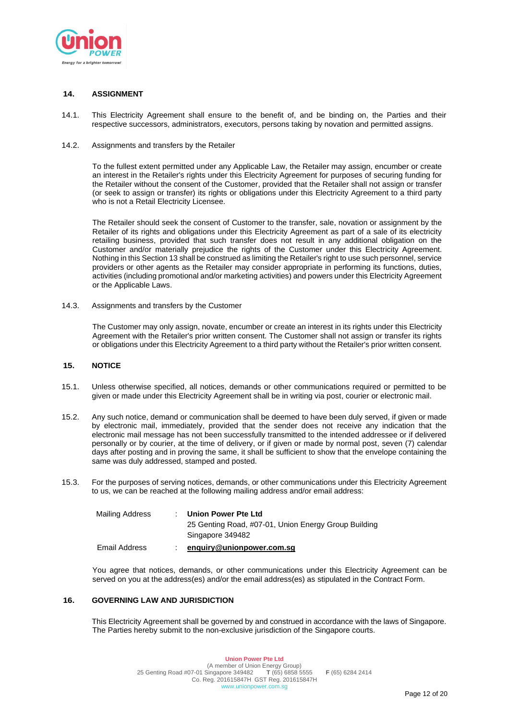

## **14. ASSIGNMENT**

14.1. This Electricity Agreement shall ensure to the benefit of, and be binding on, the Parties and their respective successors, administrators, executors, persons taking by novation and permitted assigns.

### 14.2. Assignments and transfers by the Retailer

To the fullest extent permitted under any Applicable Law, the Retailer may assign, encumber or create an interest in the Retailer's rights under this Electricity Agreement for purposes of securing funding for the Retailer without the consent of the Customer, provided that the Retailer shall not assign or transfer (or seek to assign or transfer) its rights or obligations under this Electricity Agreement to a third party who is not a Retail Electricity Licensee.

The Retailer should seek the consent of Customer to the transfer, sale, novation or assignment by the Retailer of its rights and obligations under this Electricity Agreement as part of a sale of its electricity retailing business, provided that such transfer does not result in any additional obligation on the Customer and/or materially prejudice the rights of the Customer under this Electricity Agreement. Nothing in this Section 13 shall be construed as limiting the Retailer's right to use such personnel, service providers or other agents as the Retailer may consider appropriate in performing its functions, duties, activities (including promotional and/or marketing activities) and powers under this Electricity Agreement or the Applicable Laws.

14.3. Assignments and transfers by the Customer

The Customer may only assign, novate, encumber or create an interest in its rights under this Electricity Agreement with the Retailer's prior written consent. The Customer shall not assign or transfer its rights or obligations under this Electricity Agreement to a third party without the Retailer's prior written consent.

### **15. NOTICE**

- 15.1. Unless otherwise specified, all notices, demands or other communications required or permitted to be given or made under this Electricity Agreement shall be in writing via post, courier or electronic mail.
- 15.2. Any such notice, demand or communication shall be deemed to have been duly served, if given or made by electronic mail, immediately, provided that the sender does not receive any indication that the electronic mail message has not been successfully transmitted to the intended addressee or if delivered personally or by courier, at the time of delivery, or if given or made by normal post, seven (7) calendar days after posting and in proving the same, it shall be sufficient to show that the envelope containing the same was duly addressed, stamped and posted.
- 15.3. For the purposes of serving notices, demands, or other communications under this Electricity Agreement to us, we can be reached at the following mailing address and/or email address:

| Mailing Address | Union Power Pte Ltd                                  |
|-----------------|------------------------------------------------------|
|                 | 25 Genting Road, #07-01, Union Energy Group Building |
|                 | Singapore 349482                                     |
| Email Address   | enquiry@unionpower.com.sq                            |

You agree that notices, demands, or other communications under this Electricity Agreement can be served on you at the address(es) and/or the email address(es) as stipulated in the Contract Form.

### **16. GOVERNING LAW AND JURISDICTION**

This Electricity Agreement shall be governed by and construed in accordance with the laws of Singapore. The Parties hereby submit to the non-exclusive jurisdiction of the Singapore courts.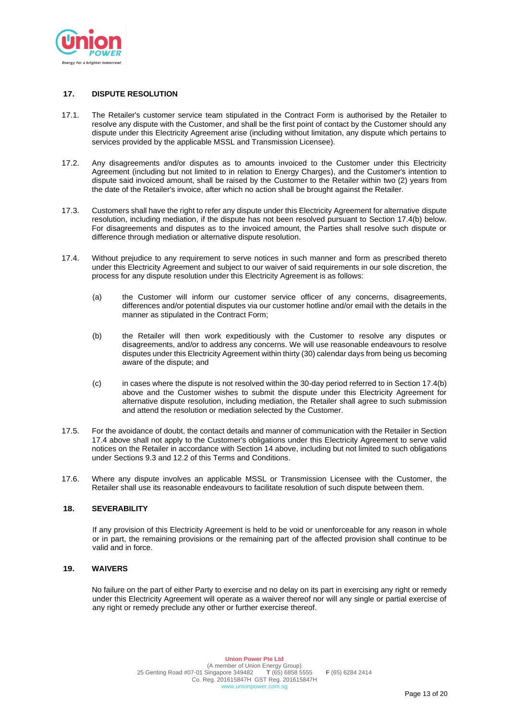

## **17. DISPUTE RESOLUTION**

- 17.1. The Retailer's customer service team stipulated in the Contract Form is authorised by the Retailer to resolve any dispute with the Customer, and shall be the first point of contact by the Customer should any dispute under this Electricity Agreement arise (including without limitation, any dispute which pertains to services provided by the applicable MSSL and Transmission Licensee).
- 17.2. Any disagreements and/or disputes as to amounts invoiced to the Customer under this Electricity Agreement (including but not limited to in relation to Energy Charges), and the Customer's intention to dispute said invoiced amount, shall be raised by the Customer to the Retailer within two (2) years from the date of the Retailer's invoice, after which no action shall be brought against the Retailer.
- 17.3. Customers shall have the right to refer any dispute under this Electricity Agreement for alternative dispute resolution, including mediation, if the dispute has not been resolved pursuant to Section 17.4(b) below. For disagreements and disputes as to the invoiced amount, the Parties shall resolve such dispute or difference through mediation or alternative dispute resolution.
- 17.4. Without prejudice to any requirement to serve notices in such manner and form as prescribed thereto under this Electricity Agreement and subject to our waiver of said requirements in our sole discretion, the process for any dispute resolution under this Electricity Agreement is as follows:
	- (a) the Customer will inform our customer service officer of any concerns, disagreements, differences and/or potential disputes via our customer hotline and/or email with the details in the manner as stipulated in the Contract Form;
	- (b) the Retailer will then work expeditiously with the Customer to resolve any disputes or disagreements, and/or to address any concerns. We will use reasonable endeavours to resolve disputes under this Electricity Agreement within thirty (30) calendar days from being us becoming aware of the dispute; and
	- (c) in cases where the dispute is not resolved within the 30-day period referred to in Section 17.4(b) above and the Customer wishes to submit the dispute under this Electricity Agreement for alternative dispute resolution, including mediation, the Retailer shall agree to such submission and attend the resolution or mediation selected by the Customer.
- 17.5. For the avoidance of doubt, the contact details and manner of communication with the Retailer in Section 17.4 above shall not apply to the Customer's obligations under this Electricity Agreement to serve valid notices on the Retailer in accordance with Section 14 above, including but not limited to such obligations under Sections 9.3 and 12.2 of this Terms and Conditions.
- 17.6. Where any dispute involves an applicable MSSL or Transmission Licensee with the Customer, the Retailer shall use its reasonable endeavours to facilitate resolution of such dispute between them.

## **18. SEVERABILITY**

If any provision of this Electricity Agreement is held to be void or unenforceable for any reason in whole or in part, the remaining provisions or the remaining part of the affected provision shall continue to be valid and in force.

### **19. WAIVERS**

No failure on the part of either Party to exercise and no delay on its part in exercising any right or remedy under this Electricity Agreement will operate as a waiver thereof nor will any single or partial exercise of any right or remedy preclude any other or further exercise thereof.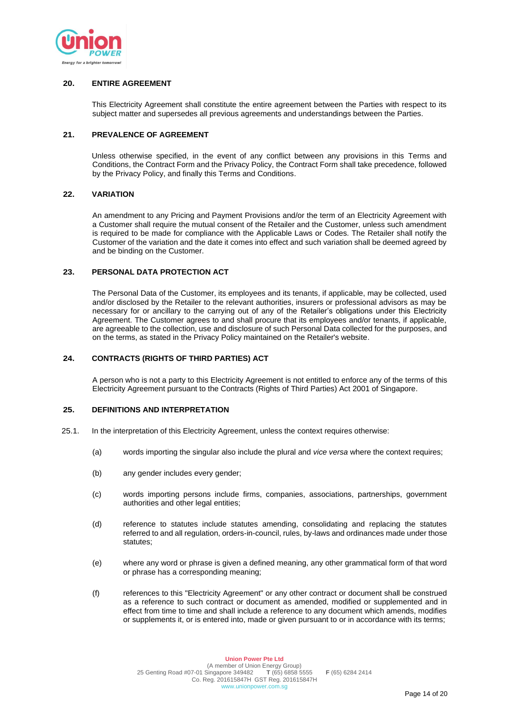

# **20. ENTIRE AGREEMENT**

This Electricity Agreement shall constitute the entire agreement between the Parties with respect to its subject matter and supersedes all previous agreements and understandings between the Parties.

## **21. PREVALENCE OF AGREEMENT**

Unless otherwise specified, in the event of any conflict between any provisions in this Terms and Conditions, the Contract Form and the Privacy Policy, the Contract Form shall take precedence, followed by the Privacy Policy, and finally this Terms and Conditions.

## **22. VARIATION**

An amendment to any Pricing and Payment Provisions and/or the term of an Electricity Agreement with a Customer shall require the mutual consent of the Retailer and the Customer, unless such amendment is required to be made for compliance with the Applicable Laws or Codes. The Retailer shall notify the Customer of the variation and the date it comes into effect and such variation shall be deemed agreed by and be binding on the Customer.

### **23. PERSONAL DATA PROTECTION ACT**

The Personal Data of the Customer, its employees and its tenants, if applicable, may be collected, used and/or disclosed by the Retailer to the relevant authorities, insurers or professional advisors as may be necessary for or ancillary to the carrying out of any of the Retailer's obligations under this Electricity Agreement. The Customer agrees to and shall procure that its employees and/or tenants, if applicable, are agreeable to the collection, use and disclosure of such Personal Data collected for the purposes, and on the terms, as stated in the Privacy Policy maintained on the Retailer's website.

# **24. CONTRACTS (RIGHTS OF THIRD PARTIES) ACT**

A person who is not a party to this Electricity Agreement is not entitled to enforce any of the terms of this Electricity Agreement pursuant to the Contracts (Rights of Third Parties) Act 2001 of Singapore.

# **25. DEFINITIONS AND INTERPRETATION**

- 25.1. In the interpretation of this Electricity Agreement, unless the context requires otherwise:
	- (a) words importing the singular also include the plural and *vice versa* where the context requires;
	- (b) any gender includes every gender;
	- (c) words importing persons include firms, companies, associations, partnerships, government authorities and other legal entities;
	- (d) reference to statutes include statutes amending, consolidating and replacing the statutes referred to and all regulation, orders-in-council, rules, by-laws and ordinances made under those statutes;
	- (e) where any word or phrase is given a defined meaning, any other grammatical form of that word or phrase has a corresponding meaning;
	- (f) references to this "Electricity Agreement" or any other contract or document shall be construed as a reference to such contract or document as amended, modified or supplemented and in effect from time to time and shall include a reference to any document which amends, modifies or supplements it, or is entered into, made or given pursuant to or in accordance with its terms;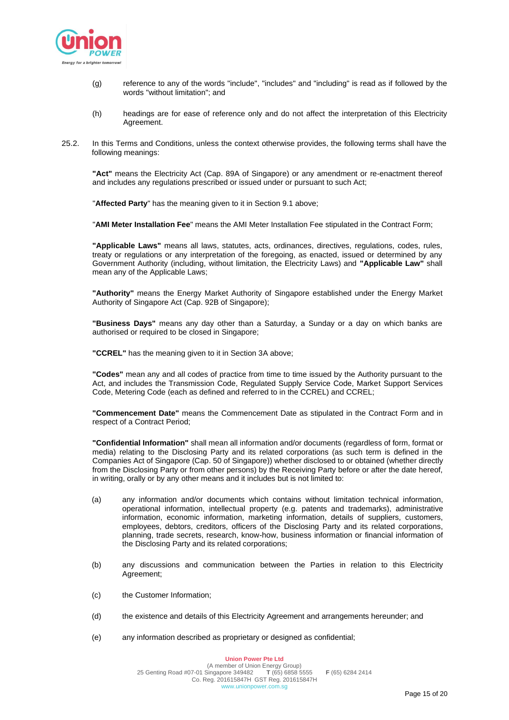

- (g) reference to any of the words "include", "includes" and "including" is read as if followed by the words "without limitation"; and
- (h) headings are for ease of reference only and do not affect the interpretation of this Electricity Agreement.
- 25.2. In this Terms and Conditions, unless the context otherwise provides, the following terms shall have the following meanings:

**"Act"** means the Electricity Act (Cap. 89A of Singapore) or any amendment or re-enactment thereof and includes any regulations prescribed or issued under or pursuant to such Act;

"**Affected Party**" has the meaning given to it in Section 9.1 above;

"**AMI Meter Installation Fee**" means the AMI Meter Installation Fee stipulated in the Contract Form;

**"Applicable Laws"** means all laws, statutes, acts, ordinances, directives, regulations, codes, rules, treaty or regulations or any interpretation of the foregoing, as enacted, issued or determined by any Government Authority (including, without limitation, the Electricity Laws) and **"Applicable Law"** shall mean any of the Applicable Laws;

**"Authority"** means the Energy Market Authority of Singapore established under the Energy Market Authority of Singapore Act (Cap. 92B of Singapore);

**"Business Days"** means any day other than a Saturday, a Sunday or a day on which banks are authorised or required to be closed in Singapore;

**"CCREL"** has the meaning given to it in Section 3A above;

**"Codes"** mean any and all codes of practice from time to time issued by the Authority pursuant to the Act, and includes the Transmission Code, Regulated Supply Service Code, Market Support Services Code, Metering Code (each as defined and referred to in the CCREL) and CCREL;

**"Commencement Date"** means the Commencement Date as stipulated in the Contract Form and in respect of a Contract Period;

**"Confidential Information"** shall mean all information and/or documents (regardless of form, format or media) relating to the Disclosing Party and its related corporations (as such term is defined in the Companies Act of Singapore (Cap. 50 of Singapore)) whether disclosed to or obtained (whether directly from the Disclosing Party or from other persons) by the Receiving Party before or after the date hereof, in writing, orally or by any other means and it includes but is not limited to:

- (a) any information and/or documents which contains without limitation technical information, operational information, intellectual property (e.g. patents and trademarks), administrative information, economic information, marketing information, details of suppliers, customers, employees, debtors, creditors, officers of the Disclosing Party and its related corporations, planning, trade secrets, research, know-how, business information or financial information of the Disclosing Party and its related corporations;
- (b) any discussions and communication between the Parties in relation to this Electricity Agreement;
- (c) the Customer Information;
- (d) the existence and details of this Electricity Agreement and arrangements hereunder; and
- (e) any information described as proprietary or designed as confidential;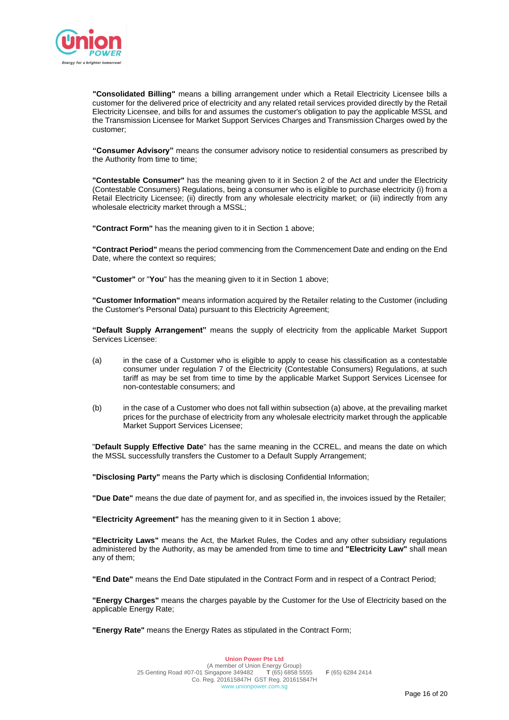

**"Consolidated Billing"** means a billing arrangement under which a Retail Electricity Licensee bills a customer for the delivered price of electricity and any related retail services provided directly by the Retail Electricity Licensee, and bills for and assumes the customer's obligation to pay the applicable MSSL and the Transmission Licensee for Market Support Services Charges and Transmission Charges owed by the customer;

**"Consumer Advisory"** means the consumer advisory notice to residential consumers as prescribed by the Authority from time to time;

**"Contestable Consumer"** has the meaning given to it in Section 2 of the Act and under the Electricity (Contestable Consumers) Regulations, being a consumer who is eligible to purchase electricity (i) from a Retail Electricity Licensee; (ii) directly from any wholesale electricity market; or (iii) indirectly from any wholesale electricity market through a MSSL;

**"Contract Form"** has the meaning given to it in Section 1 above;

**"Contract Period"** means the period commencing from the Commencement Date and ending on the End Date, where the context so requires;

**"Customer"** or "**You**" has the meaning given to it in Section 1 above;

**"Customer Information"** means information acquired by the Retailer relating to the Customer (including the Customer's Personal Data) pursuant to this Electricity Agreement;

**"Default Supply Arrangement"** means the supply of electricity from the applicable Market Support Services Licensee:

- (a) in the case of a Customer who is eligible to apply to cease his classification as a contestable consumer under regulation 7 of the Electricity (Contestable Consumers) Regulations, at such tariff as may be set from time to time by the applicable Market Support Services Licensee for non-contestable consumers; and
- (b) in the case of a Customer who does not fall within subsection (a) above, at the prevailing market prices for the purchase of electricity from any wholesale electricity market through the applicable Market Support Services Licensee;

"**Default Supply Effective Date**" has the same meaning in the CCREL, and means the date on which the MSSL successfully transfers the Customer to a Default Supply Arrangement;

**"Disclosing Party"** means the Party which is disclosing Confidential Information;

**"Due Date"** means the due date of payment for, and as specified in, the invoices issued by the Retailer;

**"Electricity Agreement"** has the meaning given to it in Section 1 above;

**"Electricity Laws"** means the Act, the Market Rules, the Codes and any other subsidiary regulations administered by the Authority, as may be amended from time to time and **"Electricity Law"** shall mean any of them;

**"End Date"** means the End Date stipulated in the Contract Form and in respect of a Contract Period;

**"Energy Charges"** means the charges payable by the Customer for the Use of Electricity based on the applicable Energy Rate;

**"Energy Rate"** means the Energy Rates as stipulated in the Contract Form;

Page 16 of 20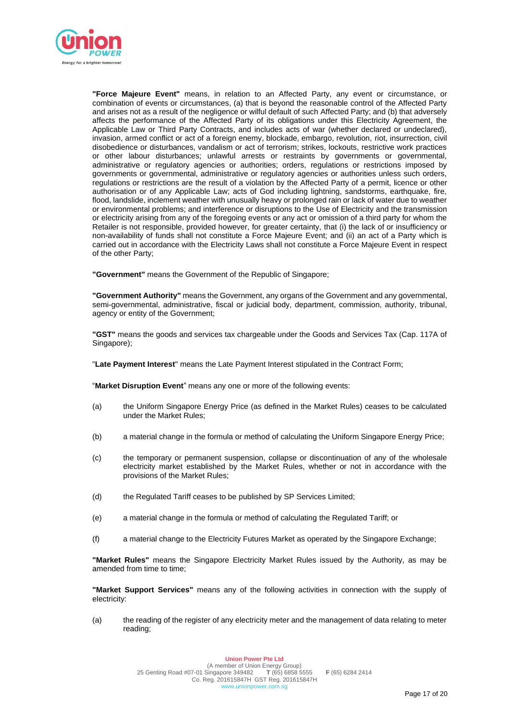

**"Force Majeure Event"** means, in relation to an Affected Party, any event or circumstance, or combination of events or circumstances, (a) that is beyond the reasonable control of the Affected Party and arises not as a result of the negligence or wilful default of such Affected Party; and (b) that adversely affects the performance of the Affected Party of its obligations under this Electricity Agreement, the Applicable Law or Third Party Contracts, and includes acts of war (whether declared or undeclared), invasion, armed conflict or act of a foreign enemy, blockade, embargo, revolution, riot, insurrection, civil disobedience or disturbances, vandalism or act of terrorism; strikes, lockouts, restrictive work practices or other labour disturbances; unlawful arrests or restraints by governments or governmental, administrative or regulatory agencies or authorities; orders, regulations or restrictions imposed by governments or governmental, administrative or regulatory agencies or authorities unless such orders, regulations or restrictions are the result of a violation by the Affected Party of a permit, licence or other authorisation or of any Applicable Law; acts of God including lightning, sandstorms, earthquake, fire, flood, landslide, inclement weather with unusually heavy or prolonged rain or lack of water due to weather or environmental problems; and interference or disruptions to the Use of Electricity and the transmission or electricity arising from any of the foregoing events or any act or omission of a third party for whom the Retailer is not responsible, provided however, for greater certainty, that (i) the lack of or insufficiency or non-availability of funds shall not constitute a Force Majeure Event; and (ii) an act of a Party which is carried out in accordance with the Electricity Laws shall not constitute a Force Majeure Event in respect of the other Party;

**"Government"** means the Government of the Republic of Singapore;

**"Government Authority"** means the Government, any organs of the Government and any governmental, semi-governmental, administrative, fiscal or judicial body, department, commission, authority, tribunal, agency or entity of the Government;

**"GST"** means the goods and services tax chargeable under the Goods and Services Tax (Cap. 117A of Singapore);

"**Late Payment Interest**" means the Late Payment Interest stipulated in the Contract Form;

"**Market Disruption Event**" means any one or more of the following events:

- (a) the Uniform Singapore Energy Price (as defined in the Market Rules) ceases to be calculated under the Market Rules;
- (b) a material change in the formula or method of calculating the Uniform Singapore Energy Price;
- (c) the temporary or permanent suspension, collapse or discontinuation of any of the wholesale electricity market established by the Market Rules, whether or not in accordance with the provisions of the Market Rules;
- (d) the Regulated Tariff ceases to be published by SP Services Limited;
- (e) a material change in the formula or method of calculating the Regulated Tariff; or
- (f) a material change to the Electricity Futures Market as operated by the Singapore Exchange;

**"Market Rules"** means the Singapore Electricity Market Rules issued by the Authority, as may be amended from time to time:

**"Market Support Services"** means any of the following activities in connection with the supply of electricity:

(a) the reading of the register of any electricity meter and the management of data relating to meter reading;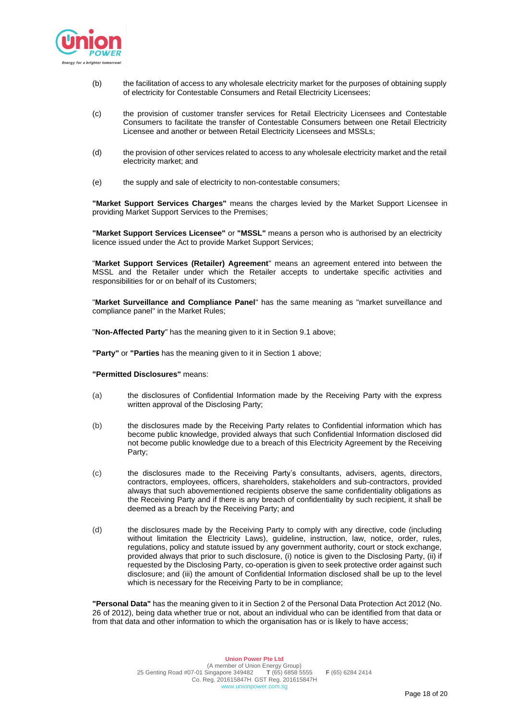

- (b) the facilitation of access to any wholesale electricity market for the purposes of obtaining supply of electricity for Contestable Consumers and Retail Electricity Licensees;
- (c) the provision of customer transfer services for Retail Electricity Licensees and Contestable Consumers to facilitate the transfer of Contestable Consumers between one Retail Electricity Licensee and another or between Retail Electricity Licensees and MSSLs;
- (d) the provision of other services related to access to any wholesale electricity market and the retail electricity market; and
- (e) the supply and sale of electricity to non-contestable consumers;

**"Market Support Services Charges"** means the charges levied by the Market Support Licensee in providing Market Support Services to the Premises;

**"Market Support Services Licensee"** or **"MSSL"** means a person who is authorised by an electricity licence issued under the Act to provide Market Support Services;

"**Market Support Services (Retailer) Agreement**" means an agreement entered into between the MSSL and the Retailer under which the Retailer accepts to undertake specific activities and responsibilities for or on behalf of its Customers;

"**Market Surveillance and Compliance Panel**" has the same meaning as "market surveillance and compliance panel" in the Market Rules;

"**Non-Affected Party**" has the meaning given to it in Section 9.1 above;

**"Party"** or **"Parties** has the meaning given to it in Section 1 above;

#### **"Permitted Disclosures"** means:

- (a) the disclosures of Confidential Information made by the Receiving Party with the express written approval of the Disclosing Party;
- (b) the disclosures made by the Receiving Party relates to Confidential information which has become public knowledge, provided always that such Confidential Information disclosed did not become public knowledge due to a breach of this Electricity Agreement by the Receiving Party;
- (c) the disclosures made to the Receiving Party's consultants, advisers, agents, directors, contractors, employees, officers, shareholders, stakeholders and sub-contractors, provided always that such abovementioned recipients observe the same confidentiality obligations as the Receiving Party and if there is any breach of confidentiality by such recipient, it shall be deemed as a breach by the Receiving Party; and
- (d) the disclosures made by the Receiving Party to comply with any directive, code (including without limitation the Electricity Laws), guideline, instruction, law, notice, order, rules, regulations, policy and statute issued by any government authority, court or stock exchange, provided always that prior to such disclosure, (i) notice is given to the Disclosing Party, (ii) if requested by the Disclosing Party, co-operation is given to seek protective order against such disclosure; and (iii) the amount of Confidential Information disclosed shall be up to the level which is necessary for the Receiving Party to be in compliance;

**"Personal Data"** has the meaning given to it in Section 2 of the Personal Data Protection Act 2012 (No. 26 of 2012), being data whether true or not, about an individual who can be identified from that data or from that data and other information to which the organisation has or is likely to have access;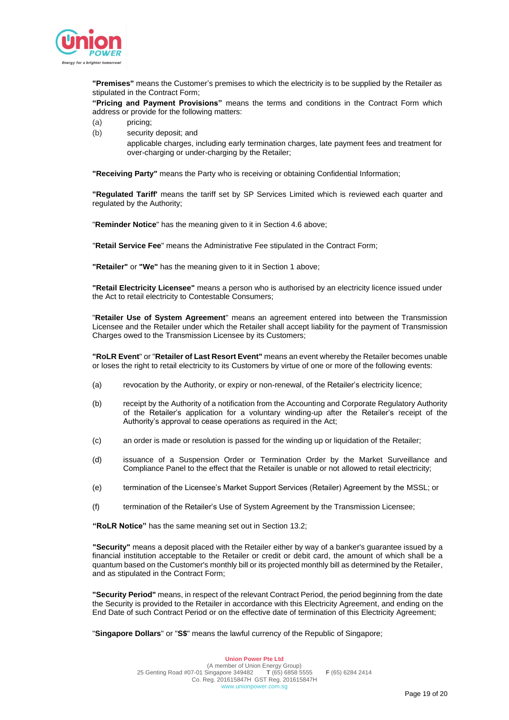

**"Premises"** means the Customer's premises to which the electricity is to be supplied by the Retailer as stipulated in the Contract Form;

**"Pricing and Payment Provisions"** means the terms and conditions in the Contract Form which address or provide for the following matters:

- (a) pricing;
- (b) security deposit; and

applicable charges, including early termination charges, late payment fees and treatment for over-charging or under-charging by the Retailer;

**"Receiving Party"** means the Party who is receiving or obtaining Confidential Information;

**"Regulated Tariff'** means the tariff set by SP Services Limited which is reviewed each quarter and regulated by the Authority;

"**Reminder Notice**" has the meaning given to it in Section 4.6 above;

"**Retail Service Fee**" means the Administrative Fee stipulated in the Contract Form;

**"Retailer"** or **"We"** has the meaning given to it in Section 1 above;

**"Retail Electricity Licensee"** means a person who is authorised by an electricity licence issued under the Act to retail electricity to Contestable Consumers;

"**Retailer Use of System Agreement**" means an agreement entered into between the Transmission Licensee and the Retailer under which the Retailer shall accept liability for the payment of Transmission Charges owed to the Transmission Licensee by its Customers;

**"RoLR Event**" or "**Retailer of Last Resort Event"** means an event whereby the Retailer becomes unable or loses the right to retail electricity to its Customers by virtue of one or more of the following events:

- (a) revocation by the Authority, or expiry or non-renewal, of the Retailer's electricity licence;
- (b) receipt by the Authority of a notification from the Accounting and Corporate Regulatory Authority of the Retailer's application for a voluntary winding-up after the Retailer's receipt of the Authority's approval to cease operations as required in the Act;
- (c) an order is made or resolution is passed for the winding up or liquidation of the Retailer;
- (d) issuance of a Suspension Order or Termination Order by the Market Surveillance and Compliance Panel to the effect that the Retailer is unable or not allowed to retail electricity;
- (e) termination of the Licensee's Market Support Services (Retailer) Agreement by the MSSL; or
- (f) termination of the Retailer's Use of System Agreement by the Transmission Licensee;

**"RoLR Notice"** has the same meaning set out in Section 13.2;

**"Security"** means a deposit placed with the Retailer either by way of a banker's guarantee issued by a financial institution acceptable to the Retailer or credit or debit card, the amount of which shall be a quantum based on the Customer's monthly bill or its projected monthly bill as determined by the Retailer, and as stipulated in the Contract Form;

**"Security Period"** means, in respect of the relevant Contract Period, the period beginning from the date the Security is provided to the Retailer in accordance with this Electricity Agreement, and ending on the End Date of such Contract Period or on the effective date of termination of this Electricity Agreement;

"**Singapore Dollars**" or "**S\$**" means the lawful currency of the Republic of Singapore;